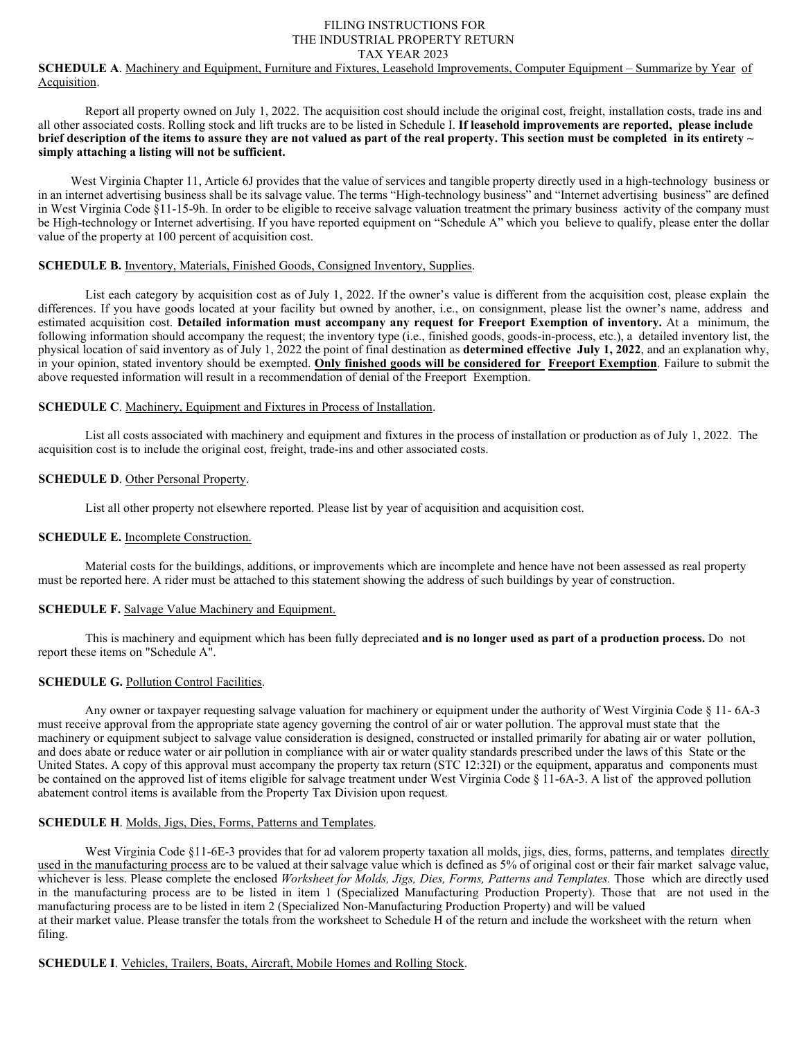## FILING INSTRUCTIONS FOR THE INDUSTRIAL PROPERTY RETURN TAX YEAR 2023

## **SCHEDULE A**. Machinery and Equipment, Furniture and Fixtures, Leasehold Improvements, Computer Equipment – Summarize by Year of Acquisition.

Report all property owned on July 1, 2022. The acquisition cost should include the original cost, freight, installation costs, trade ins and all other associated costs. Rolling stock and lift trucks are to be listed in Schedule I. **If leasehold improvements are reported, please include brief description of the items to assure they are not valued as part of the real property. This section must be completed in its entirety ~ simply attaching a listing will not be sufficient.** 

West Virginia Chapter 11, Article 6J provides that the value of services and tangible property directly used in a high-technology business or in an internet advertising business shall be its salvage value. The terms "High-technology business" and "Internet advertising business" are defined in West Virginia Code §11-15-9h. In order to be eligible to receive salvage valuation treatment the primary business activity of the company must be High-technology or Internet advertising. If you have reported equipment on "Schedule A" which you believe to qualify, please enter the dollar value of the property at 100 percent of acquisition cost.

### **SCHEDULE B.** Inventory, Materials, Finished Goods, Consigned Inventory, Supplies.

List each category by acquisition cost as of July 1, 2022. If the owner's value is different from the acquisition cost, please explain the differences. If you have goods located at your facility but owned by another, i.e., on consignment, please list the owner's name, address and estimated acquisition cost. **Detailed information must accompany any request for Freeport Exemption of inventory.** At a minimum, the following information should accompany the request; the inventory type (i.e., finished goods, goods-in-process, etc.), a detailed inventory list, the physical location of said inventory as of July 1, 2022 the point of final destination as **determined effective July 1, 2022**, and an explanation why, in your opinion, stated inventory should be exempted. **Only finished goods will be considered for Freeport Exemption**. Failure to submit the above requested information will result in a recommendation of denial of the Freeport Exemption.

#### **SCHEDULE C**. Machinery, Equipment and Fixtures in Process of Installation.

List all costs associated with machinery and equipment and fixtures in the process of installation or production as of July 1, 2022. The acquisition cost is to include the original cost, freight, trade-ins and other associated costs.

#### **SCHEDULE D**. Other Personal Property.

List all other property not elsewhere reported. Please list by year of acquisition and acquisition cost.

#### **SCHEDULE E.** Incomplete Construction.

Material costs for the buildings, additions, or improvements which are incomplete and hence have not been assessed as real property must be reported here. A rider must be attached to this statement showing the address of such buildings by year of construction.

## **SCHEDULE F.** Salvage Value Machinery and Equipment.

This is machinery and equipment which has been fully depreciated **and is no longer used as part of a production process.** Do not report these items on "Schedule A".

## **SCHEDULE G. Pollution Control Facilities.**

Any owner or taxpayer requesting salvage valuation for machinery or equipment under the authority of West Virginia Code § 11- 6A-3 must receive approval from the appropriate state agency governing the control of air or water pollution. The approval must state that the machinery or equipment subject to salvage value consideration is designed, constructed or installed primarily for abating air or water pollution, and does abate or reduce water or air pollution in compliance with air or water quality standards prescribed under the laws of this State or the United States. A copy of this approval must accompany the property tax return (STC 12:32I) or the equipment, apparatus and components must be contained on the approved list of items eligible for salvage treatment under West Virginia Code § 11-6A-3. A list of the approved pollution abatement control items is available from the Property Tax Division upon request.

# **SCHEDULE H**. Molds, Jigs, Dies, Forms, Patterns and Templates.

West Virginia Code §11-6E-3 provides that for ad valorem property taxation all molds, jigs, dies, forms, patterns, and templates directly used in the manufacturing process are to be valued at their salvage value which is defined as 5% of original cost or their fair market salvage value, whichever is less. Please complete the enclosed *Worksheet for Molds, Jigs, Dies, Forms, Patterns and Templates*. Those which are directly used in the manufacturing process are to be listed in item 1 (Specialized Manufacturing Production Property). Those that are not used in the manufacturing process are to be listed in item 2 (Specialized Non-Manufacturing Production Property) and will be valued at their market value. Please transfer the totals from the worksheet to Schedule H of the return and include the worksheet with the return when filing.

## **SCHEDULE I**. Vehicles, Trailers, Boats, Aircraft, Mobile Homes and Rolling Stock.